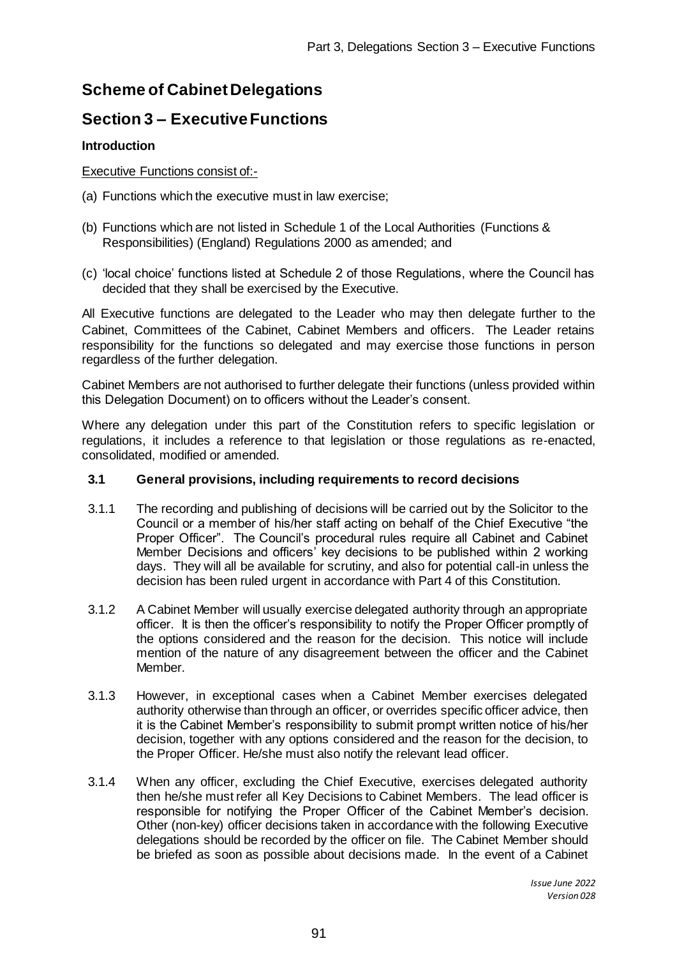# **Scheme of Cabinet Delegations**

# **Section 3 – Executive Functions**

# **Introduction**

## Executive Functions consist of:-

- (a) Functions which the executive must in law exercise;
- (b) Functions which are not listed in Schedule 1 of the Local Authorities (Functions & Responsibilities) (England) Regulations 2000 as amended; and
- (c) 'local choice' functions listed at Schedule 2 of those Regulations, where the Council has decided that they shall be exercised by the Executive.

All Executive functions are delegated to the Leader who may then delegate further to the Cabinet, Committees of the Cabinet, Cabinet Members and officers. The Leader retains responsibility for the functions so delegated and may exercise those functions in person regardless of the further delegation.

Cabinet Members are not authorised to further delegate their functions (unless provided within this Delegation Document) on to officers without the Leader's consent.

Where any delegation under this part of the Constitution refers to specific legislation or regulations, it includes a reference to that legislation or those regulations as re-enacted, consolidated, modified or amended.

## **3.1 General provisions, including requirements to record decisions**

- 3.1.1 The recording and publishing of decisions will be carried out by the Solicitor to the Council or a member of his/her staff acting on behalf of the Chief Executive "the Proper Officer". The Council's procedural rules require all Cabinet and Cabinet Member Decisions and officers' key decisions to be published within 2 working days. They will all be available for scrutiny, and also for potential call-in unless the decision has been ruled urgent in accordance with Part 4 of this Constitution.
- 3.1.2 A Cabinet Member will usually exercise delegated authority through an appropriate officer. It is then the officer's responsibility to notify the Proper Officer promptly of the options considered and the reason for the decision. This notice will include mention of the nature of any disagreement between the officer and the Cabinet Member.
- 3.1.3 However, in exceptional cases when a Cabinet Member exercises delegated authority otherwise than through an officer, or overrides specific officer advice, then it is the Cabinet Member's responsibility to submit prompt written notice of his/her decision, together with any options considered and the reason for the decision, to the Proper Officer. He/she must also notify the relevant lead officer.
- 3.1.4 When any officer, excluding the Chief Executive, exercises delegated authority then he/she must refer all Key Decisions to Cabinet Members. The lead officer is responsible for notifying the Proper Officer of the Cabinet Member's decision. Other (non-key) officer decisions taken in accordance with the following Executive delegations should be recorded by the officer on file. The Cabinet Member should be briefed as soon as possible about decisions made. In the event of a Cabinet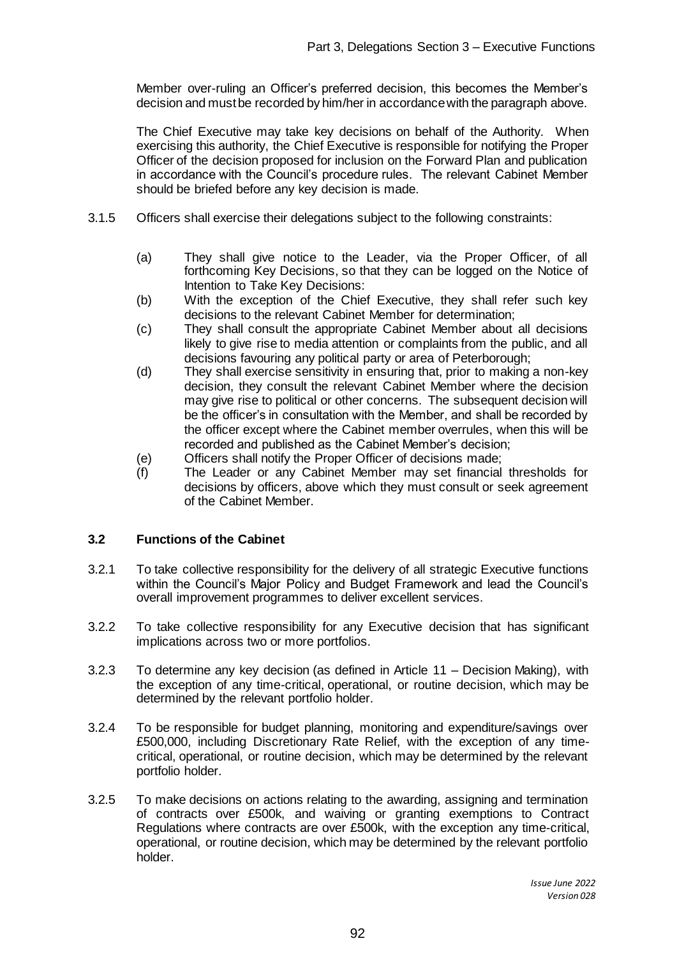Member over-ruling an Officer's preferred decision, this becomes the Member's decision and must be recorded by him/her in accordance with the paragraph above.

The Chief Executive may take key decisions on behalf of the Authority. When exercising this authority, the Chief Executive is responsible for notifying the Proper Officer of the decision proposed for inclusion on the Forward Plan and publication in accordance with the Council's procedure rules. The relevant Cabinet Member should be briefed before any key decision is made.

- 3.1.5 Officers shall exercise their delegations subject to the following constraints:
	- (a) They shall give notice to the Leader, via the Proper Officer, of all forthcoming Key Decisions, so that they can be logged on the Notice of Intention to Take Key Decisions:
	- (b) With the exception of the Chief Executive, they shall refer such key decisions to the relevant Cabinet Member for determination;
	- (c) They shall consult the appropriate Cabinet Member about all decisions likely to give rise to media attention or complaints from the public, and all decisions favouring any political party or area of Peterborough;
	- (d) They shall exercise sensitivity in ensuring that, prior to making a non-key decision, they consult the relevant Cabinet Member where the decision may give rise to political or other concerns. The subsequent decision will be the officer's in consultation with the Member, and shall be recorded by the officer except where the Cabinet member overrules, when this will be recorded and published as the Cabinet Member's decision;
	- (e) Officers shall notify the Proper Officer of decisions made;
	- (f) The Leader or any Cabinet Member may set financial thresholds for decisions by officers, above which they must consult or seek agreement of the Cabinet Member.

## **3.2 Functions of the Cabinet**

- 3.2.1 To take collective responsibility for the delivery of all strategic Executive functions within the Council's Major Policy and Budget Framework and lead the Council's overall improvement programmes to deliver excellent services.
- 3.2.2 To take collective responsibility for any Executive decision that has significant implications across two or more portfolios.
- 3.2.3 To determine any key decision (as defined in Article 11 – Decision Making), with the exception of any time-critical, operational, or routine decision, which may be determined by the relevant portfolio holder.
- 3.2.4 To be responsible for budget planning, monitoring and expenditure/savings over £500,000, including Discretionary Rate Relief, with the exception of any timecritical, operational, or routine decision, which may be determined by the relevant portfolio holder.
- 3.2.5 To make decisions on actions relating to the awarding, assigning and termination of contracts over £500k, and waiving or granting exemptions to Contract Regulations where contracts are over £500k, with the exception any time-critical, operational, or routine decision, which may be determined by the relevant portfolio holder.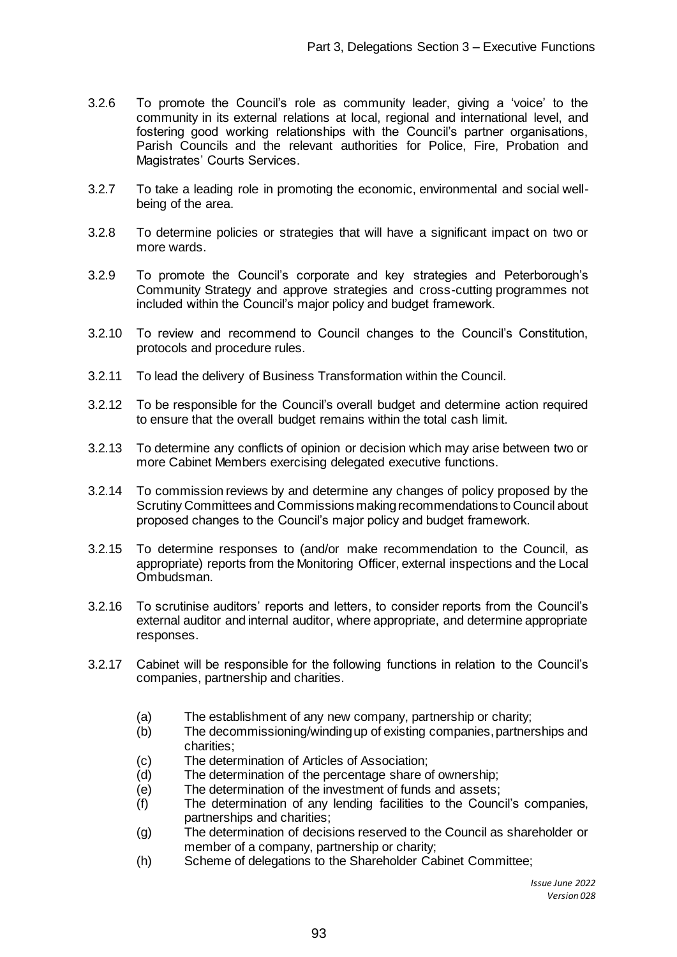- 3.2.6 To promote the Council's role as community leader, giving a 'voice' to the community in its external relations at local, regional and international level, and fostering good working relationships with the Council's partner organisations, Parish Councils and the relevant authorities for Police, Fire, Probation and Magistrates' Courts Services.
- 3.2.7 To take a leading role in promoting the economic, environmental and social wellbeing of the area.
- 3.2.8 To determine policies or strategies that will have a significant impact on two or more wards.
- 3.2.9 To promote the Council's corporate and key strategies and Peterborough's Community Strategy and approve strategies and cross-cutting programmes not included within the Council's major policy and budget framework.
- 3.2.10 To review and recommend to Council changes to the Council's Constitution, protocols and procedure rules.
- 3.2.11 To lead the delivery of Business Transformation within the Council.
- 3.2.12 To be responsible for the Council's overall budget and determine action required to ensure that the overall budget remains within the total cash limit.
- 3.2.13 To determine any conflicts of opinion or decision which may arise between two or more Cabinet Members exercising delegated executive functions.
- 3.2.14 To commission reviews by and determine any changes of policy proposed by the Scrutiny Committees and Commissions making recommendations to Council about proposed changes to the Council's major policy and budget framework.
- 3.2.15 To determine responses to (and/or make recommendation to the Council, as appropriate) reports from the Monitoring Officer, external inspections and the Local Ombudsman.
- 3.2.16 To scrutinise auditors' reports and letters, to consider reports from the Council's external auditor and internal auditor, where appropriate, and determine appropriate responses.
- 3.2.17 Cabinet will be responsible for the following functions in relation to the Council's companies, partnership and charities.
	- (a) The establishment of any new company, partnership or charity;
	- (b) The decommissioning/winding up of existing companies, partnerships and charities;
	- (c) The determination of Articles of Association;
	- (d) The determination of the percentage share of ownership;
	- (e) The determination of the investment of funds and assets;
	- (f) The determination of any lending facilities to the Council's companies, partnerships and charities;
	- (g) The determination of decisions reserved to the Council as shareholder or member of a company, partnership or charity;
	- (h) Scheme of delegations to the Shareholder Cabinet Committee;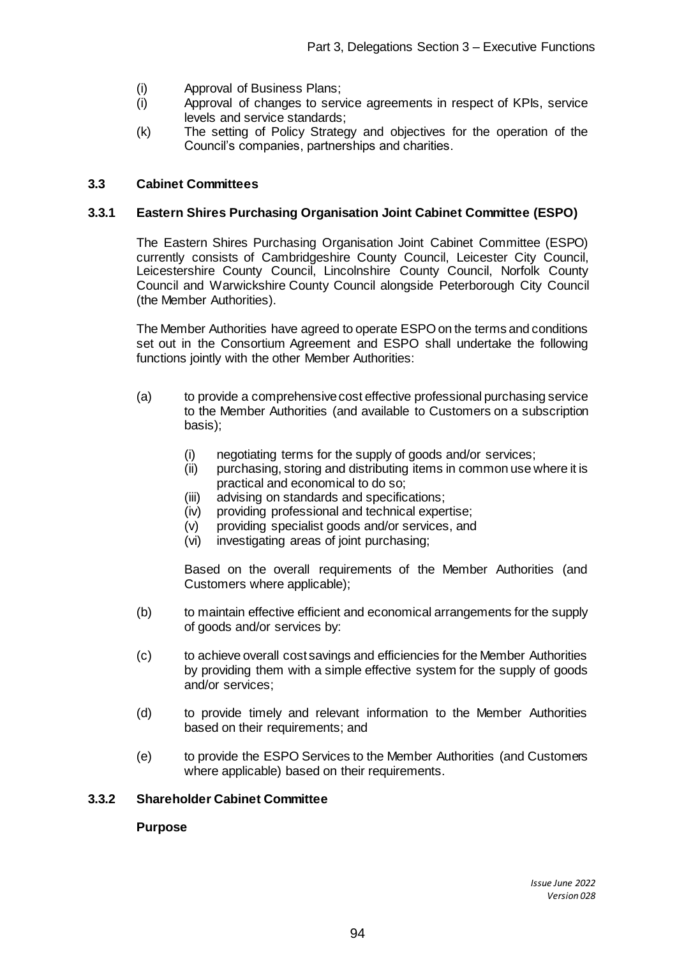- (i) Approval of Business Plans;
- (i) Approval of changes to service agreements in respect of KPIs, service levels and service standards;
- (k) The setting of Policy Strategy and objectives for the operation of the Council's companies, partnerships and charities.

### **3.3 Cabinet Committees**

#### **3.3.1 Eastern Shires Purchasing Organisation Joint Cabinet Committee (ESPO)**

The Eastern Shires Purchasing Organisation Joint Cabinet Committee (ESPO) currently consists of Cambridgeshire County Council, Leicester City Council, Leicestershire County Council, Lincolnshire County Council, Norfolk County Council and Warwickshire County Council alongside Peterborough City Council (the Member Authorities).

The Member Authorities have agreed to operate ESPO on the terms and conditions set out in the Consortium Agreement and ESPO shall undertake the following functions jointly with the other Member Authorities:

- (a) to provide a comprehensive cost effective professional purchasing service to the Member Authorities (and available to Customers on a subscription basis);
	- (i) negotiating terms for the supply of goods and/or services;
	- (ii) purchasing, storing and distributing items in common use where it is practical and economical to do so;
	- (iii) advising on standards and specifications;
	- (iv) providing professional and technical expertise;
	- (v) providing specialist goods and/or services, and
	- (vi) investigating areas of joint purchasing;

Based on the overall requirements of the Member Authorities (and Customers where applicable);

- (b) to maintain effective efficient and economical arrangements for the supply of goods and/or services by:
- (c) to achieve overall cost savings and efficiencies for the Member Authorities by providing them with a simple effective system for the supply of goods and/or services;
- (d) to provide timely and relevant information to the Member Authorities based on their requirements; and
- (e) to provide the ESPO Services to the Member Authorities (and Customers where applicable) based on their requirements.

#### **3.3.2 Shareholder Cabinet Committee**

## **Purpose**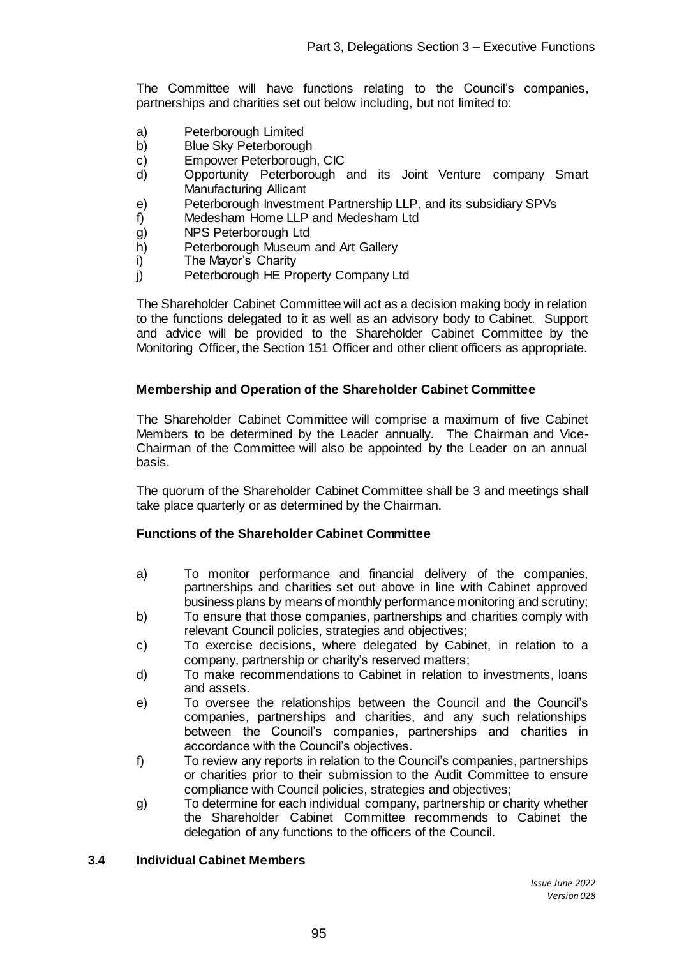The Committee will have functions relating to the Council's companies, partnerships and charities set out below including, but not limited to:

- a) Peterborough Limited<br>b) Blue Sky Peterborough
- Blue Sky Peterborough
- c) Empower Peterborough, CIC
- d) Opportunity Peterborough and its Joint Venture company Smart Manufacturing Allicant
- e) Peterborough Investment Partnership LLP, and its subsidiary SPVs
- f) Medesham Home LLP and Medesham Ltd
- g) NPS Peterborough Ltd
- h) Peterborough Museum and Art Gallery
- i) The Mayor's Charity
- j) Peterborough HE Property Company Ltd

The Shareholder Cabinet Committee will act as a decision making body in relation to the functions delegated to it as well as an advisory body to Cabinet. Support and advice will be provided to the Shareholder Cabinet Committee by the Monitoring Officer, the Section 151 Officer and other client officers as appropriate.

## **Membership and Operation of the Shareholder Cabinet Committee**

The Shareholder Cabinet Committee will comprise a maximum of five Cabinet Members to be determined by the Leader annually. The Chairman and Vice-Chairman of the Committee will also be appointed by the Leader on an annual basis.

The quorum of the Shareholder Cabinet Committee shall be 3 and meetings shall take place quarterly or as determined by the Chairman.

#### **Functions of the Shareholder Cabinet Committee**

- a) To monitor performance and financial delivery of the companies, partnerships and charities set out above in line with Cabinet approved business plans by means of monthly performance monitoring and scrutiny;
- b) To ensure that those companies, partnerships and charities comply with relevant Council policies, strategies and objectives;
- c) To exercise decisions, where delegated by Cabinet, in relation to a company, partnership or charity's reserved matters;
- d) To make recommendations to Cabinet in relation to investments, loans and assets.
- e) To oversee the relationships between the Council and the Council's companies, partnerships and charities, and any such relationships between the Council's companies, partnerships and charities in accordance with the Council's objectives.
- f) To review any reports in relation to the Council's companies, partnerships or charities prior to their submission to the Audit Committee to ensure compliance with Council policies, strategies and objectives;
- g) To determine for each individual company, partnership or charity whether the Shareholder Cabinet Committee recommends to Cabinet the delegation of any functions to the officers of the Council.

#### **3.4 Individual Cabinet Members**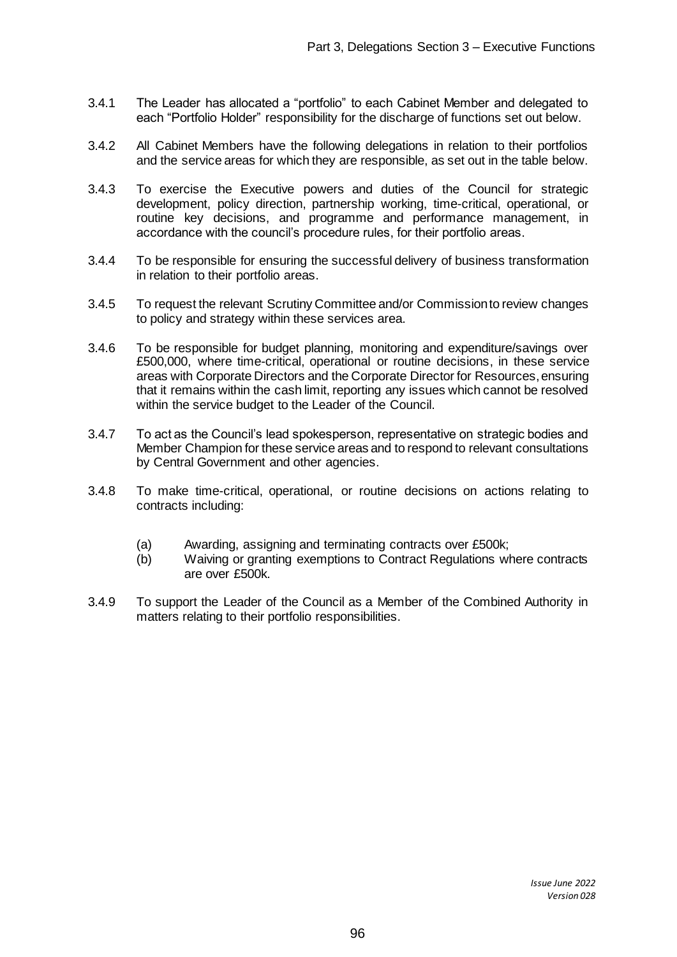- 3.4.1 The Leader has allocated a "portfolio" to each Cabinet Member and delegated to each "Portfolio Holder" responsibility for the discharge of functions set out below.
- 3.4.2 All Cabinet Members have the following delegations in relation to their portfolios and the service areas for which they are responsible, as set out in the table below.
- 3.4.3 To exercise the Executive powers and duties of the Council for strategic development, policy direction, partnership working, time-critical, operational, or routine key decisions, and programme and performance management, in accordance with the council's procedure rules, for their portfolio areas.
- 3.4.4 To be responsible for ensuring the successful delivery of business transformation in relation to their portfolio areas.
- 3.4.5 To request the relevant Scrutiny Committee and/or Commission to review changes to policy and strategy within these services area.
- 3.4.6 To be responsible for budget planning, monitoring and expenditure/savings over £500,000, where time-critical, operational or routine decisions, in these service areas with Corporate Directors and the Corporate Director for Resources, ensuring that it remains within the cash limit, reporting any issues which cannot be resolved within the service budget to the Leader of the Council.
- 3.4.7 To act as the Council's lead spokesperson, representative on strategic bodies and Member Champion for these service areas and to respond to relevant consultations by Central Government and other agencies.
- 3.4.8 To make time-critical, operational, or routine decisions on actions relating to contracts including:
	- (a) Awarding, assigning and terminating contracts over £500k;
	- (b) Waiving or granting exemptions to Contract Regulations where contracts are over £500k.
- 3.4.9 To support the Leader of the Council as a Member of the Combined Authority in matters relating to their portfolio responsibilities.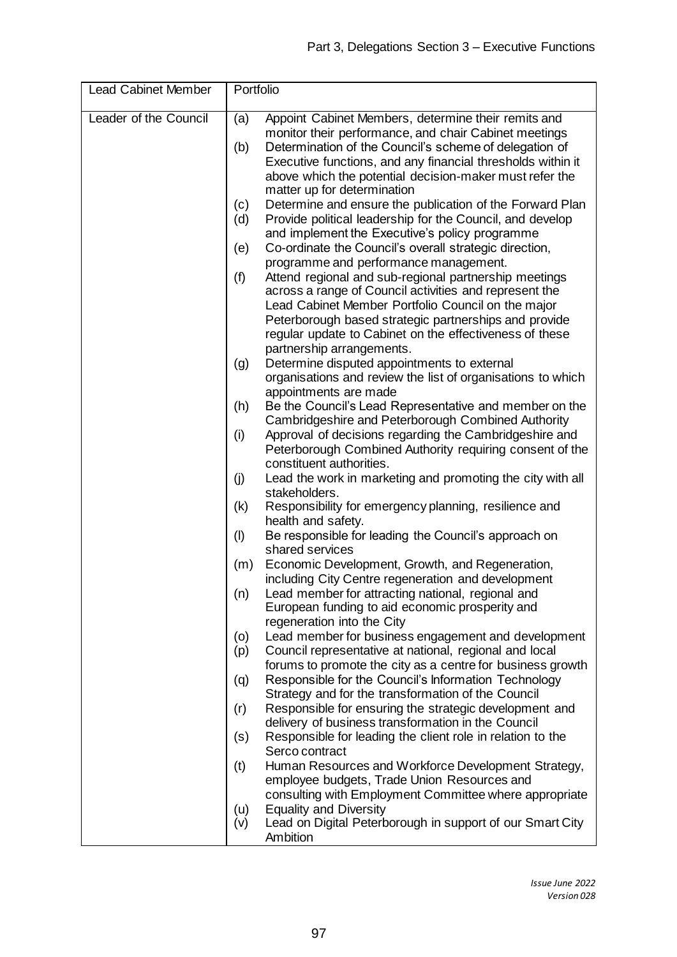| <b>Lead Cabinet Member</b> |            | Portfolio                                                                                                                                                                                                                                                                                                                       |  |  |
|----------------------------|------------|---------------------------------------------------------------------------------------------------------------------------------------------------------------------------------------------------------------------------------------------------------------------------------------------------------------------------------|--|--|
| Leader of the Council      | (a)<br>(b) | Appoint Cabinet Members, determine their remits and<br>monitor their performance, and chair Cabinet meetings<br>Determination of the Council's scheme of delegation of<br>Executive functions, and any financial thresholds within it<br>above which the potential decision-maker must refer the<br>matter up for determination |  |  |
|                            | (c)        | Determine and ensure the publication of the Forward Plan                                                                                                                                                                                                                                                                        |  |  |
|                            | (d)        | Provide political leadership for the Council, and develop<br>and implement the Executive's policy programme                                                                                                                                                                                                                     |  |  |
|                            | (e)        | Co-ordinate the Council's overall strategic direction,<br>programme and performance management.                                                                                                                                                                                                                                 |  |  |
|                            | (f)        | Attend regional and sub-regional partnership meetings<br>across a range of Council activities and represent the<br>Lead Cabinet Member Portfolio Council on the major<br>Peterborough based strategic partnerships and provide<br>regular update to Cabinet on the effectiveness of these<br>partnership arrangements.          |  |  |
|                            | (g)        | Determine disputed appointments to external                                                                                                                                                                                                                                                                                     |  |  |
|                            |            | organisations and review the list of organisations to which                                                                                                                                                                                                                                                                     |  |  |
|                            |            | appointments are made                                                                                                                                                                                                                                                                                                           |  |  |
|                            | (h)        | Be the Council's Lead Representative and member on the<br>Cambridgeshire and Peterborough Combined Authority                                                                                                                                                                                                                    |  |  |
|                            | (i)        | Approval of decisions regarding the Cambridgeshire and<br>Peterborough Combined Authority requiring consent of the                                                                                                                                                                                                              |  |  |
|                            | (j)        | constituent authorities.<br>Lead the work in marketing and promoting the city with all                                                                                                                                                                                                                                          |  |  |
|                            |            | stakeholders.                                                                                                                                                                                                                                                                                                                   |  |  |
|                            | (k)        | Responsibility for emergency planning, resilience and<br>health and safety.                                                                                                                                                                                                                                                     |  |  |
|                            | (1)        | Be responsible for leading the Council's approach on<br>shared services                                                                                                                                                                                                                                                         |  |  |
|                            | (m)        | Economic Development, Growth, and Regeneration,<br>including City Centre regeneration and development                                                                                                                                                                                                                           |  |  |
|                            | (n)        | Lead member for attracting national, regional and<br>European funding to aid economic prosperity and<br>regeneration into the City                                                                                                                                                                                              |  |  |
|                            | (o)        | Lead member for business engagement and development                                                                                                                                                                                                                                                                             |  |  |
|                            | (p)        | Council representative at national, regional and local                                                                                                                                                                                                                                                                          |  |  |
|                            |            | forums to promote the city as a centre for business growth                                                                                                                                                                                                                                                                      |  |  |
|                            | (q)        | Responsible for the Council's Information Technology<br>Strategy and for the transformation of the Council                                                                                                                                                                                                                      |  |  |
|                            | (r)        | Responsible for ensuring the strategic development and                                                                                                                                                                                                                                                                          |  |  |
|                            |            | delivery of business transformation in the Council                                                                                                                                                                                                                                                                              |  |  |
|                            | (s)        | Responsible for leading the client role in relation to the                                                                                                                                                                                                                                                                      |  |  |
|                            | (t)        | Serco contract<br>Human Resources and Workforce Development Strategy,                                                                                                                                                                                                                                                           |  |  |
|                            |            | employee budgets, Trade Union Resources and                                                                                                                                                                                                                                                                                     |  |  |
|                            |            | consulting with Employment Committee where appropriate                                                                                                                                                                                                                                                                          |  |  |
|                            | (u)        | <b>Equality and Diversity</b>                                                                                                                                                                                                                                                                                                   |  |  |
|                            | (v)        | Lead on Digital Peterborough in support of our Smart City<br>Ambition                                                                                                                                                                                                                                                           |  |  |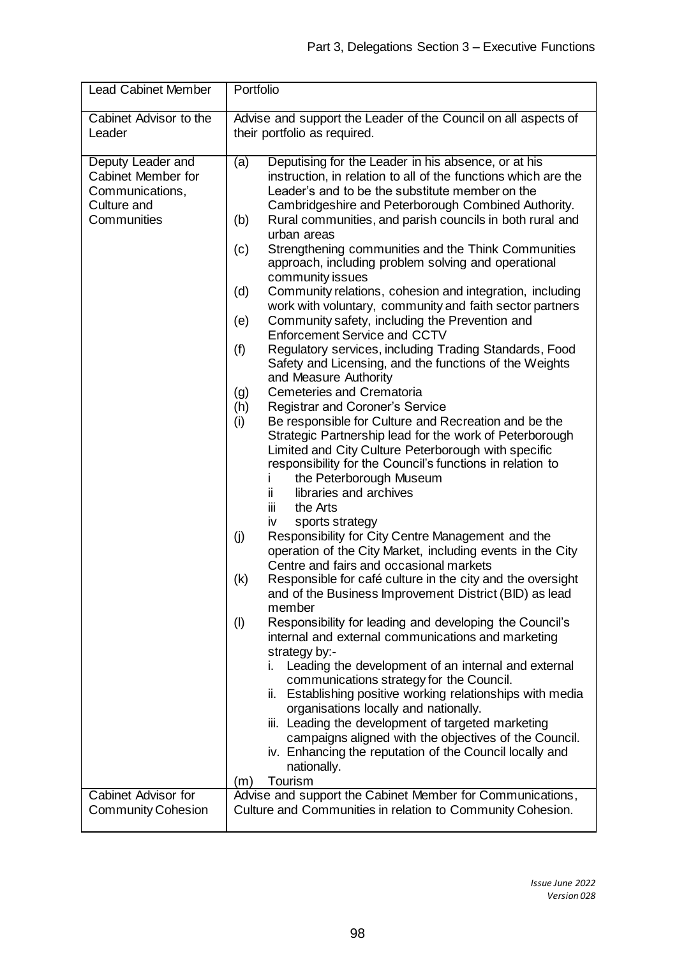| <b>Lead Cabinet Member</b>                                                                                      | Portfolio                                                                                                                                                                                                                                                                                                                                                                                                                                                                                                                                                                                                                                                                                                                                                                                                                                                                                                                                                                                                                                                                                                                                                                                                                                                                                                                                                                                                                                                                                                                                                                                                                                                                                                                                                                                                                                                                                                                                                                                                                                                                                                                                                                                                                        |  |  |
|-----------------------------------------------------------------------------------------------------------------|----------------------------------------------------------------------------------------------------------------------------------------------------------------------------------------------------------------------------------------------------------------------------------------------------------------------------------------------------------------------------------------------------------------------------------------------------------------------------------------------------------------------------------------------------------------------------------------------------------------------------------------------------------------------------------------------------------------------------------------------------------------------------------------------------------------------------------------------------------------------------------------------------------------------------------------------------------------------------------------------------------------------------------------------------------------------------------------------------------------------------------------------------------------------------------------------------------------------------------------------------------------------------------------------------------------------------------------------------------------------------------------------------------------------------------------------------------------------------------------------------------------------------------------------------------------------------------------------------------------------------------------------------------------------------------------------------------------------------------------------------------------------------------------------------------------------------------------------------------------------------------------------------------------------------------------------------------------------------------------------------------------------------------------------------------------------------------------------------------------------------------------------------------------------------------------------------------------------------------|--|--|
| Cabinet Advisor to the<br>Leader                                                                                | Advise and support the Leader of the Council on all aspects of<br>their portfolio as required.                                                                                                                                                                                                                                                                                                                                                                                                                                                                                                                                                                                                                                                                                                                                                                                                                                                                                                                                                                                                                                                                                                                                                                                                                                                                                                                                                                                                                                                                                                                                                                                                                                                                                                                                                                                                                                                                                                                                                                                                                                                                                                                                   |  |  |
| Deputy Leader and<br>Cabinet Member for<br>Communications,<br>Culture and<br>Communities<br>Cabinet Advisor for | Deputising for the Leader in his absence, or at his<br>(a)<br>instruction, in relation to all of the functions which are the<br>Leader's and to be the substitute member on the<br>Cambridgeshire and Peterborough Combined Authority.<br>Rural communities, and parish councils in both rural and<br>(b)<br>urban areas<br>Strengthening communities and the Think Communities<br>(c)<br>approach, including problem solving and operational<br>community issues<br>Community relations, cohesion and integration, including<br>(d)<br>work with voluntary, community and faith sector partners<br>Community safety, including the Prevention and<br>(e)<br>Enforcement Service and CCTV<br>Regulatory services, including Trading Standards, Food<br>(f)<br>Safety and Licensing, and the functions of the Weights<br>and Measure Authority<br>Cemeteries and Crematoria<br>(g)<br>Registrar and Coroner's Service<br>(h)<br>Be responsible for Culture and Recreation and be the<br>(i)<br>Strategic Partnership lead for the work of Peterborough<br>Limited and City Culture Peterborough with specific<br>responsibility for the Council's functions in relation to<br>the Peterborough Museum<br>Ť<br>libraries and archives<br>ij.<br>the Arts<br>Ш<br>sports strategy<br>iv<br>(j)<br>Responsibility for City Centre Management and the<br>operation of the City Market, including events in the City<br>Centre and fairs and occasional markets<br>(k)<br>Responsible for café culture in the city and the oversight<br>and of the Business Improvement District (BID) as lead<br>member<br>Responsibility for leading and developing the Council's<br>(1)<br>internal and external communications and marketing<br>strategy by:-<br>i. Leading the development of an internal and external<br>communications strategy for the Council.<br>ii. Establishing positive working relationships with media<br>organisations locally and nationally.<br>iii. Leading the development of targeted marketing<br>campaigns aligned with the objectives of the Council.<br>iv. Enhancing the reputation of the Council locally and<br>nationally.<br>Tourism<br>(m)<br>Advise and support the Cabinet Member for Communications, |  |  |
| <b>Community Cohesion</b>                                                                                       | Culture and Communities in relation to Community Cohesion.                                                                                                                                                                                                                                                                                                                                                                                                                                                                                                                                                                                                                                                                                                                                                                                                                                                                                                                                                                                                                                                                                                                                                                                                                                                                                                                                                                                                                                                                                                                                                                                                                                                                                                                                                                                                                                                                                                                                                                                                                                                                                                                                                                       |  |  |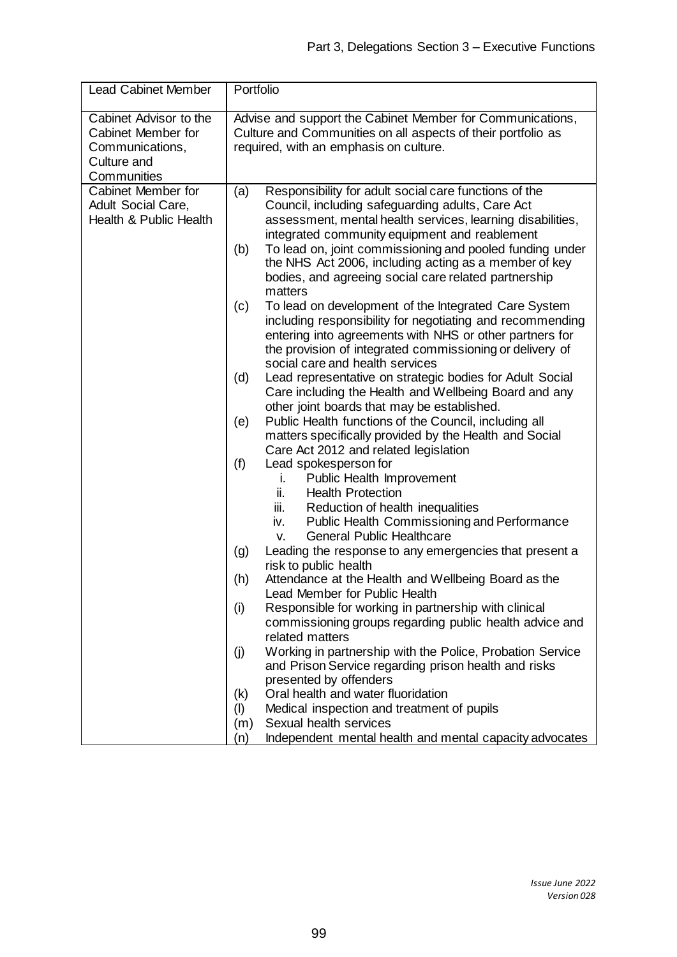| <b>Lead Cabinet Member</b>                                                                    | Portfolio |                                                                                                                                                                                      |  |
|-----------------------------------------------------------------------------------------------|-----------|--------------------------------------------------------------------------------------------------------------------------------------------------------------------------------------|--|
| Cabinet Advisor to the<br>Cabinet Member for<br>Communications,<br>Culture and<br>Communities |           | Advise and support the Cabinet Member for Communications,<br>Culture and Communities on all aspects of their portfolio as<br>required, with an emphasis on culture.                  |  |
| Cabinet Member for                                                                            | (a)       | Responsibility for adult social care functions of the                                                                                                                                |  |
| Adult Social Care,                                                                            |           | Council, including safeguarding adults, Care Act                                                                                                                                     |  |
| Health & Public Health                                                                        |           | assessment, mental health services, learning disabilities,                                                                                                                           |  |
|                                                                                               |           | integrated community equipment and reablement                                                                                                                                        |  |
|                                                                                               | (b)       | To lead on, joint commissioning and pooled funding under<br>the NHS Act 2006, including acting as a member of key<br>bodies, and agreeing social care related partnership<br>matters |  |
|                                                                                               | (c)       | To lead on development of the Integrated Care System                                                                                                                                 |  |
|                                                                                               |           | including responsibility for negotiating and recommending                                                                                                                            |  |
|                                                                                               |           | entering into agreements with NHS or other partners for                                                                                                                              |  |
|                                                                                               |           | the provision of integrated commissioning or delivery of                                                                                                                             |  |
|                                                                                               |           | social care and health services<br>Lead representative on strategic bodies for Adult Social                                                                                          |  |
|                                                                                               | (d)       | Care including the Health and Wellbeing Board and any                                                                                                                                |  |
|                                                                                               |           | other joint boards that may be established.                                                                                                                                          |  |
|                                                                                               | (e)       | Public Health functions of the Council, including all                                                                                                                                |  |
|                                                                                               |           | matters specifically provided by the Health and Social                                                                                                                               |  |
|                                                                                               |           | Care Act 2012 and related legislation                                                                                                                                                |  |
|                                                                                               | (f)       | Lead spokesperson for                                                                                                                                                                |  |
|                                                                                               |           | Public Health Improvement<br>i.                                                                                                                                                      |  |
|                                                                                               |           | ii.<br><b>Health Protection</b>                                                                                                                                                      |  |
|                                                                                               |           | Reduction of health inequalities<br>iii.                                                                                                                                             |  |
|                                                                                               |           | Public Health Commissioning and Performance<br>iv.                                                                                                                                   |  |
|                                                                                               |           | <b>General Public Healthcare</b><br>v.<br>Leading the response to any emergencies that present a                                                                                     |  |
|                                                                                               | (g)       | risk to public health                                                                                                                                                                |  |
|                                                                                               | (h)       | Attendance at the Health and Wellbeing Board as the                                                                                                                                  |  |
|                                                                                               |           | <b>Lead Member for Public Health</b>                                                                                                                                                 |  |
|                                                                                               | (i)       | Responsible for working in partnership with clinical                                                                                                                                 |  |
|                                                                                               |           | commissioning groups regarding public health advice and                                                                                                                              |  |
|                                                                                               |           | related matters                                                                                                                                                                      |  |
|                                                                                               | (j)       | Working in partnership with the Police, Probation Service                                                                                                                            |  |
|                                                                                               |           | and Prison Service regarding prison health and risks                                                                                                                                 |  |
|                                                                                               |           | presented by offenders                                                                                                                                                               |  |
|                                                                                               | (k)       | Oral health and water fluoridation                                                                                                                                                   |  |
|                                                                                               | (1)       | Medical inspection and treatment of pupils                                                                                                                                           |  |
|                                                                                               | (m)       | Sexual health services                                                                                                                                                               |  |
|                                                                                               | (n)       | Independent mental health and mental capacity advocates                                                                                                                              |  |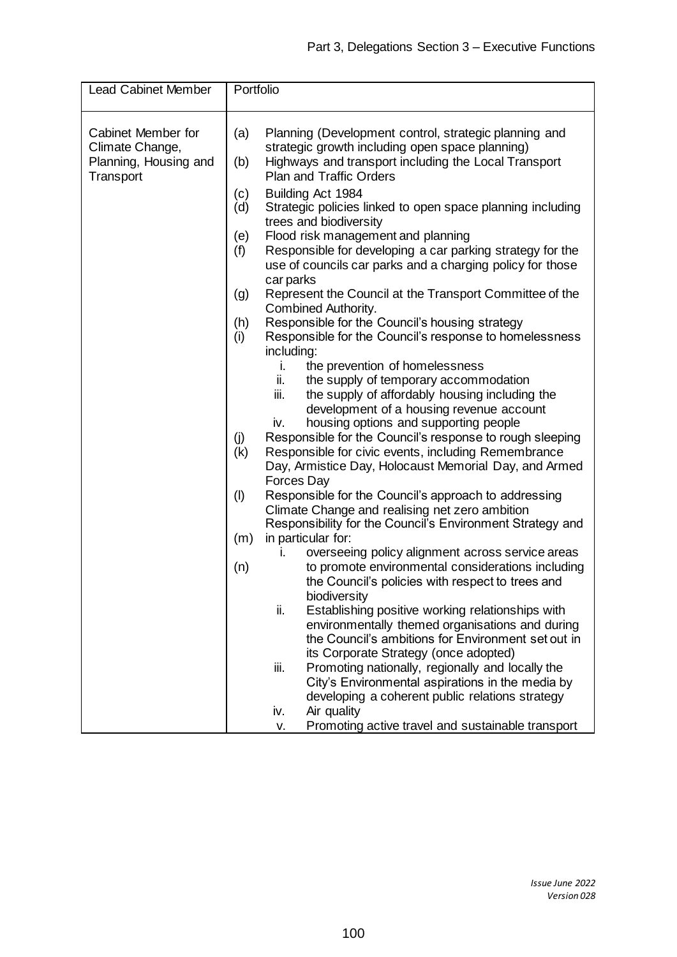| <b>Lead Cabinet Member</b> | Portfolio |                                                                                                             |
|----------------------------|-----------|-------------------------------------------------------------------------------------------------------------|
| Cabinet Member for         | (a)       | Planning (Development control, strategic planning and                                                       |
| Climate Change,            |           | strategic growth including open space planning)                                                             |
| Planning, Housing and      | (b)       | Highways and transport including the Local Transport                                                        |
| Transport                  |           | <b>Plan and Traffic Orders</b>                                                                              |
|                            | (c)       | Building Act 1984                                                                                           |
|                            | (d)       | Strategic policies linked to open space planning including                                                  |
|                            |           | trees and biodiversity                                                                                      |
|                            | (e)       | Flood risk management and planning                                                                          |
|                            | (f)       | Responsible for developing a car parking strategy for the                                                   |
|                            |           | use of councils car parks and a charging policy for those                                                   |
|                            |           | car parks                                                                                                   |
|                            | (g)       | Represent the Council at the Transport Committee of the                                                     |
|                            |           | Combined Authority.                                                                                         |
|                            | (h)       | Responsible for the Council's housing strategy                                                              |
|                            | (i)       | Responsible for the Council's response to homelessness                                                      |
|                            |           | including:                                                                                                  |
|                            |           | the prevention of homelessness<br>i.                                                                        |
|                            |           | ii.<br>the supply of temporary accommodation                                                                |
|                            |           | iii.<br>the supply of affordably housing including the                                                      |
|                            |           | development of a housing revenue account                                                                    |
|                            |           | housing options and supporting people<br>iv.                                                                |
|                            | (j)       | Responsible for the Council's response to rough sleeping                                                    |
|                            | (k)       | Responsible for civic events, including Remembrance                                                         |
|                            |           | Day, Armistice Day, Holocaust Memorial Day, and Armed                                                       |
|                            |           | Forces Day                                                                                                  |
|                            | (1)       | Responsible for the Council's approach to addressing                                                        |
|                            |           | Climate Change and realising net zero ambition<br>Responsibility for the Council's Environment Strategy and |
|                            | (m)       | in particular for:                                                                                          |
|                            |           | overseeing policy alignment across service areas<br>i.                                                      |
|                            | (n)       | to promote environmental considerations including                                                           |
|                            |           | the Council's policies with respect to trees and                                                            |
|                            |           | biodiversity                                                                                                |
|                            |           | ii.<br>Establishing positive working relationships with                                                     |
|                            |           | environmentally themed organisations and during                                                             |
|                            |           | the Council's ambitions for Environment set out in                                                          |
|                            |           | its Corporate Strategy (once adopted)                                                                       |
|                            |           | iii.<br>Promoting nationally, regionally and locally the                                                    |
|                            |           | City's Environmental aspirations in the media by                                                            |
|                            |           | developing a coherent public relations strategy                                                             |
|                            |           | Air quality<br>iv.                                                                                          |
|                            |           | Promoting active travel and sustainable transport<br>v.                                                     |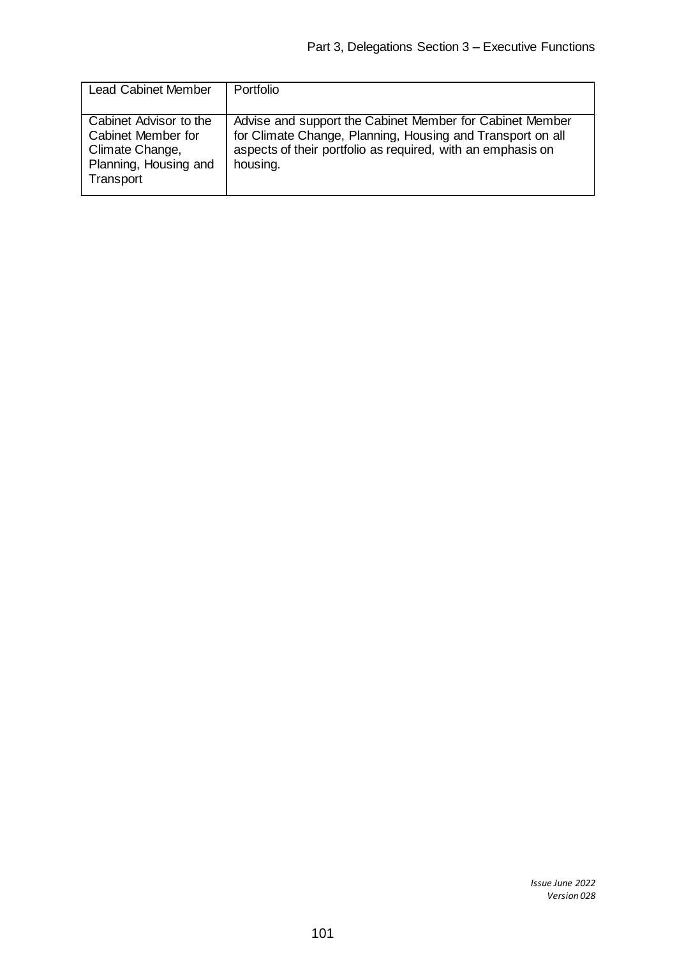| <b>Lead Cabinet Member</b>                                                                            | Portfolio                                                                                                                                                                                         |
|-------------------------------------------------------------------------------------------------------|---------------------------------------------------------------------------------------------------------------------------------------------------------------------------------------------------|
| Cabinet Advisor to the<br>Cabinet Member for<br>Climate Change,<br>Planning, Housing and<br>Transport | Advise and support the Cabinet Member for Cabinet Member<br>for Climate Change, Planning, Housing and Transport on all<br>aspects of their portfolio as required, with an emphasis on<br>housing. |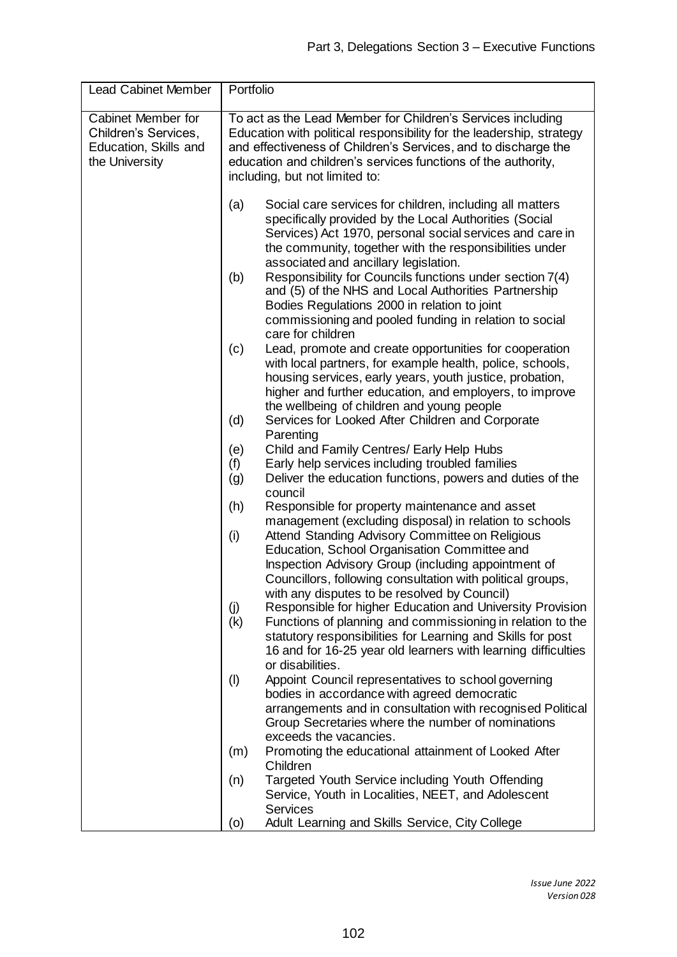| Portfolio                                                                                                                                                                                                                                                                                                |                                                                                                                                                                                                                                                                                          |  |
|----------------------------------------------------------------------------------------------------------------------------------------------------------------------------------------------------------------------------------------------------------------------------------------------------------|------------------------------------------------------------------------------------------------------------------------------------------------------------------------------------------------------------------------------------------------------------------------------------------|--|
| To act as the Lead Member for Children's Services including<br>Education with political responsibility for the leadership, strategy<br>and effectiveness of Children's Services, and to discharge the<br>education and children's services functions of the authority,<br>including, but not limited to: |                                                                                                                                                                                                                                                                                          |  |
| (a)                                                                                                                                                                                                                                                                                                      | Social care services for children, including all matters<br>specifically provided by the Local Authorities (Social<br>Services) Act 1970, personal social services and care in<br>the community, together with the responsibilities under<br>associated and ancillary legislation.       |  |
| (b)                                                                                                                                                                                                                                                                                                      | Responsibility for Councils functions under section 7(4)<br>and (5) of the NHS and Local Authorities Partnership<br>Bodies Regulations 2000 in relation to joint<br>commissioning and pooled funding in relation to social<br>care for children                                          |  |
| (c)                                                                                                                                                                                                                                                                                                      | Lead, promote and create opportunities for cooperation<br>with local partners, for example health, police, schools,<br>housing services, early years, youth justice, probation,<br>higher and further education, and employers, to improve<br>the wellbeing of children and young people |  |
| (d)                                                                                                                                                                                                                                                                                                      | Services for Looked After Children and Corporate<br>Parenting                                                                                                                                                                                                                            |  |
|                                                                                                                                                                                                                                                                                                          | Child and Family Centres/ Early Help Hubs                                                                                                                                                                                                                                                |  |
| (f)                                                                                                                                                                                                                                                                                                      | Early help services including troubled families                                                                                                                                                                                                                                          |  |
|                                                                                                                                                                                                                                                                                                          | Deliver the education functions, powers and duties of the<br>council                                                                                                                                                                                                                     |  |
| (h)                                                                                                                                                                                                                                                                                                      | Responsible for property maintenance and asset                                                                                                                                                                                                                                           |  |
|                                                                                                                                                                                                                                                                                                          | management (excluding disposal) in relation to schools                                                                                                                                                                                                                                   |  |
|                                                                                                                                                                                                                                                                                                          | Attend Standing Advisory Committee on Religious                                                                                                                                                                                                                                          |  |
|                                                                                                                                                                                                                                                                                                          | Education, School Organisation Committee and<br>Inspection Advisory Group (including appointment of                                                                                                                                                                                      |  |
|                                                                                                                                                                                                                                                                                                          | Councillors, following consultation with political groups,                                                                                                                                                                                                                               |  |
|                                                                                                                                                                                                                                                                                                          | with any disputes to be resolved by Council)                                                                                                                                                                                                                                             |  |
| (j)                                                                                                                                                                                                                                                                                                      | Responsible for higher Education and University Provision                                                                                                                                                                                                                                |  |
|                                                                                                                                                                                                                                                                                                          | Functions of planning and commissioning in relation to the<br>statutory responsibilities for Learning and Skills for post                                                                                                                                                                |  |
|                                                                                                                                                                                                                                                                                                          | 16 and for 16-25 year old learners with learning difficulties                                                                                                                                                                                                                            |  |
|                                                                                                                                                                                                                                                                                                          | or disabilities.                                                                                                                                                                                                                                                                         |  |
| (1)                                                                                                                                                                                                                                                                                                      | Appoint Council representatives to school governing                                                                                                                                                                                                                                      |  |
|                                                                                                                                                                                                                                                                                                          | bodies in accordance with agreed democratic                                                                                                                                                                                                                                              |  |
|                                                                                                                                                                                                                                                                                                          | arrangements and in consultation with recognised Political<br>Group Secretaries where the number of nominations                                                                                                                                                                          |  |
|                                                                                                                                                                                                                                                                                                          | exceeds the vacancies.                                                                                                                                                                                                                                                                   |  |
| (m)                                                                                                                                                                                                                                                                                                      | Promoting the educational attainment of Looked After                                                                                                                                                                                                                                     |  |
|                                                                                                                                                                                                                                                                                                          | Children                                                                                                                                                                                                                                                                                 |  |
| (n)                                                                                                                                                                                                                                                                                                      | Targeted Youth Service including Youth Offending                                                                                                                                                                                                                                         |  |
|                                                                                                                                                                                                                                                                                                          | Service, Youth in Localities, NEET, and Adolescent<br><b>Services</b>                                                                                                                                                                                                                    |  |
|                                                                                                                                                                                                                                                                                                          | Adult Learning and Skills Service, City College                                                                                                                                                                                                                                          |  |
|                                                                                                                                                                                                                                                                                                          | (e)<br>(g)<br>(i)<br>(k)<br>(o)                                                                                                                                                                                                                                                          |  |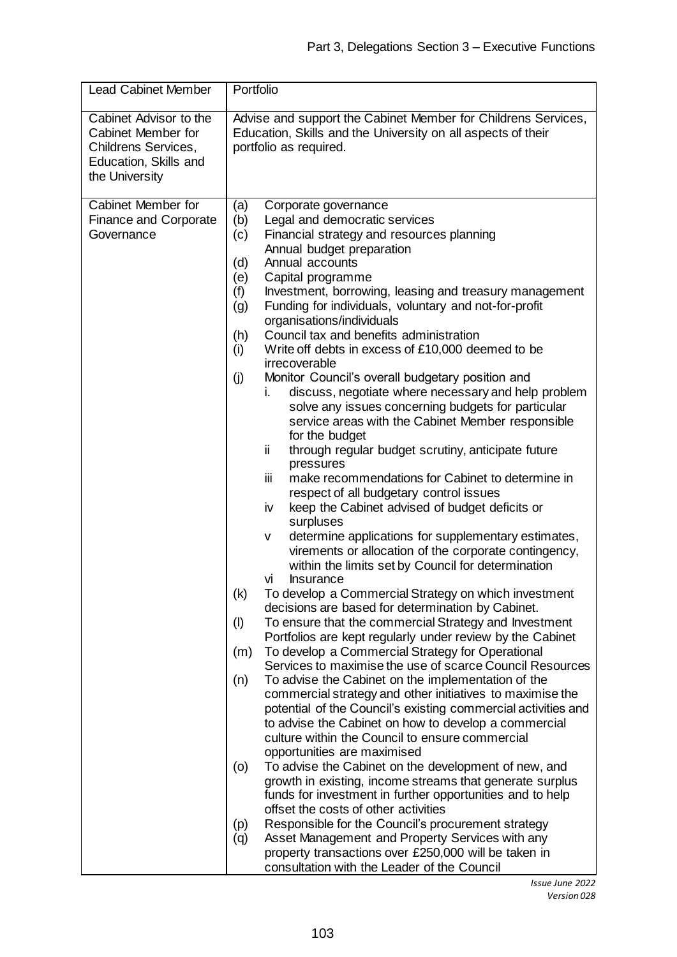| <b>Lead Cabinet Member</b>                                                                                     | Portfolio                                                                                                                                                                                                                                                                                                                                                                                                                                                                                                                                                                                                                                                                                                                                                                                                                                                                                                                                                                                                                                                                                                                                                                                                                                                                                                                                  |  |  |
|----------------------------------------------------------------------------------------------------------------|--------------------------------------------------------------------------------------------------------------------------------------------------------------------------------------------------------------------------------------------------------------------------------------------------------------------------------------------------------------------------------------------------------------------------------------------------------------------------------------------------------------------------------------------------------------------------------------------------------------------------------------------------------------------------------------------------------------------------------------------------------------------------------------------------------------------------------------------------------------------------------------------------------------------------------------------------------------------------------------------------------------------------------------------------------------------------------------------------------------------------------------------------------------------------------------------------------------------------------------------------------------------------------------------------------------------------------------------|--|--|
| Cabinet Advisor to the<br>Cabinet Member for<br>Childrens Services,<br>Education, Skills and<br>the University | Advise and support the Cabinet Member for Childrens Services,<br>Education, Skills and the University on all aspects of their<br>portfolio as required.                                                                                                                                                                                                                                                                                                                                                                                                                                                                                                                                                                                                                                                                                                                                                                                                                                                                                                                                                                                                                                                                                                                                                                                    |  |  |
|                                                                                                                |                                                                                                                                                                                                                                                                                                                                                                                                                                                                                                                                                                                                                                                                                                                                                                                                                                                                                                                                                                                                                                                                                                                                                                                                                                                                                                                                            |  |  |
| Cabinet Member for<br><b>Finance and Corporate</b><br>Governance                                               | Corporate governance<br>(a)<br>(b)<br>Legal and democratic services<br>(c)<br>Financial strategy and resources planning<br>Annual budget preparation<br>Annual accounts<br>(d)<br>(e)<br>Capital programme<br>(f)<br>Investment, borrowing, leasing and treasury management<br>(g)<br>Funding for individuals, voluntary and not-for-profit<br>organisations/individuals<br>Council tax and benefits administration<br>(h)<br>Write off debts in excess of £10,000 deemed to be<br>(i)<br>irrecoverable<br>Monitor Council's overall budgetary position and<br>(j)<br>discuss, negotiate where necessary and help problem<br>İ.<br>solve any issues concerning budgets for particular<br>service areas with the Cabinet Member responsible<br>for the budget<br>through regular budget scrutiny, anticipate future<br>ij.<br>pressures<br>iίi<br>make recommendations for Cabinet to determine in<br>respect of all budgetary control issues<br>keep the Cabinet advised of budget deficits or<br>iv<br>surpluses<br>determine applications for supplementary estimates,<br>v<br>virements or allocation of the corporate contingency,<br>within the limits set by Council for determination<br><b>Insurance</b><br>VÌ<br>To develop a Commercial Strategy on which investment<br>(k)<br>decisions are based for determination by Cabinet. |  |  |
|                                                                                                                | To ensure that the commercial Strategy and Investment<br>(1)<br>Portfolios are kept regularly under review by the Cabinet<br>To develop a Commercial Strategy for Operational<br>(m)<br>Services to maximise the use of scarce Council Resources<br>To advise the Cabinet on the implementation of the<br>(n)<br>commercial strategy and other initiatives to maximise the<br>potential of the Council's existing commercial activities and<br>to advise the Cabinet on how to develop a commercial<br>culture within the Council to ensure commercial<br>opportunities are maximised<br>To advise the Cabinet on the development of new, and<br>(0)<br>growth in existing, income streams that generate surplus<br>funds for investment in further opportunities and to help<br>offset the costs of other activities<br>Responsible for the Council's procurement strategy<br>(p)<br>Asset Management and Property Services with any<br>(q)<br>property transactions over £250,000 will be taken in<br>consultation with the Leader of the Council                                                                                                                                                                                                                                                                                        |  |  |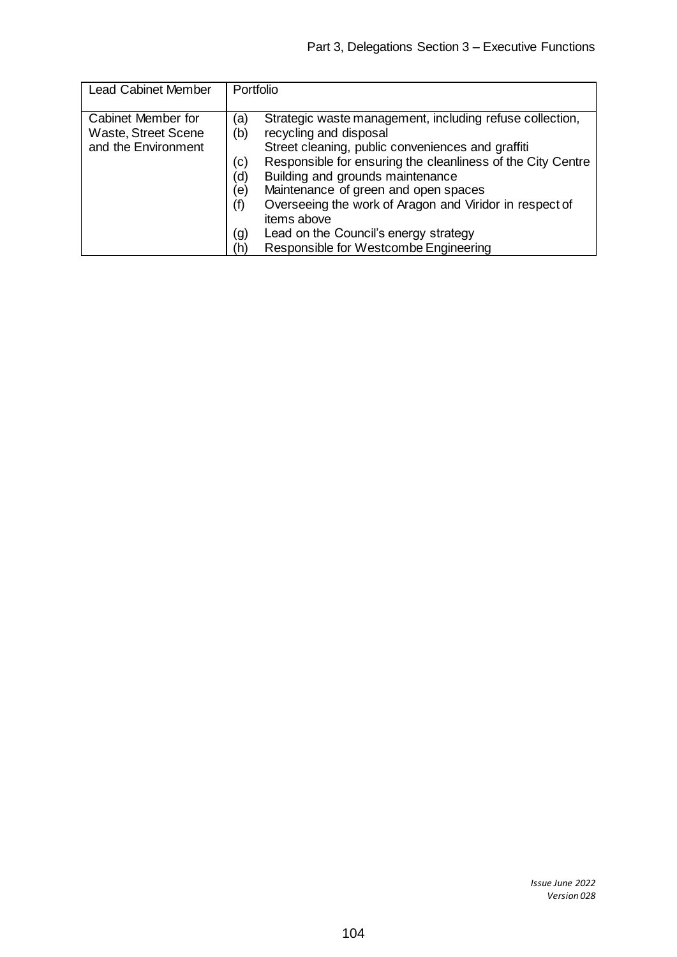| <b>Lead Cabinet Member</b>                                       | Portfolio                                                                                                                                                                                                                                                                                                                                                                                                                                                                                              |
|------------------------------------------------------------------|--------------------------------------------------------------------------------------------------------------------------------------------------------------------------------------------------------------------------------------------------------------------------------------------------------------------------------------------------------------------------------------------------------------------------------------------------------------------------------------------------------|
| Cabinet Member for<br>Waste, Street Scene<br>and the Environment | Strategic waste management, including refuse collection,<br>(a)<br>recycling and disposal<br>(b)<br>Street cleaning, public conveniences and graffiti<br>Responsible for ensuring the cleanliness of the City Centre<br>(c)<br>Building and grounds maintenance<br>(d)<br>Maintenance of green and open spaces<br>(e)<br>Overseeing the work of Aragon and Viridor in respect of<br>(f)<br>items above<br>Lead on the Council's energy strategy<br>(g)<br>Responsible for Westcombe Engineering<br>(h) |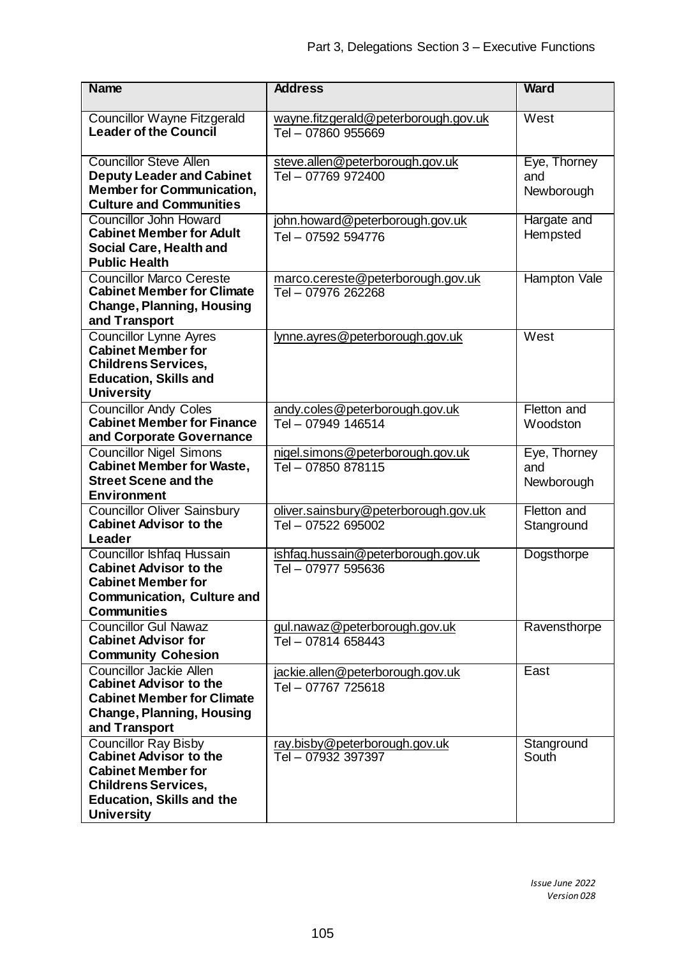| <b>Name</b>                                                                                                                                                                      | <b>Address</b>                                             | <b>Ward</b>                       |
|----------------------------------------------------------------------------------------------------------------------------------------------------------------------------------|------------------------------------------------------------|-----------------------------------|
| <b>Councillor Wayne Fitzgerald</b><br><b>Leader of the Council</b>                                                                                                               | wayne.fitzgerald@peterborough.gov.uk<br>Tel - 07860 955669 | West                              |
| <b>Councillor Steve Allen</b><br><b>Deputy Leader and Cabinet</b><br><b>Member for Communication,</b><br><b>Culture and Communities</b>                                          | steve.allen@peterborough.gov.uk<br>Tel - 07769 972400      | Eye, Thorney<br>and<br>Newborough |
| <b>Councillor John Howard</b><br><b>Cabinet Member for Adult</b><br>Social Care, Health and<br><b>Public Health</b>                                                              | john.howard@peterborough.gov.uk<br>Tel - 07592 594776      | Hargate and<br>Hempsted           |
| <b>Councillor Marco Cereste</b><br><b>Cabinet Member for Climate</b><br><b>Change, Planning, Housing</b><br>and Transport                                                        | marco.cereste@peterborough.gov.uk<br>Tel - 07976 262268    | Hampton Vale                      |
| <b>Councillor Lynne Ayres</b><br><b>Cabinet Member for</b><br><b>Childrens Services,</b><br><b>Education, Skills and</b><br><b>University</b>                                    | lynne.ayres@peterborough.gov.uk                            | West                              |
| <b>Councillor Andy Coles</b><br><b>Cabinet Member for Finance</b><br>and Corporate Governance                                                                                    | andy.coles@peterborough.gov.uk<br>Tel - 07949 146514       | Fletton and<br>Woodston           |
| <b>Councillor Nigel Simons</b><br><b>Cabinet Member for Waste,</b><br><b>Street Scene and the</b><br><b>Environment</b>                                                          | nigel.simons@peterborough.gov.uk<br>Tel - 07850 878115     | Eye, Thorney<br>and<br>Newborough |
| <b>Councillor Oliver Sainsbury</b><br><b>Cabinet Advisor to the</b><br>Leader                                                                                                    | oliver.sainsbury@peterborough.gov.uk<br>Tel - 07522 695002 | Fletton and<br>Stanground         |
| <b>Councillor Ishfaq Hussain</b><br><b>Cabinet Advisor to the</b><br><b>Cabinet Member for</b><br><b>Communication, Culture and</b><br><b>Communities</b>                        | ishfaq.hussain@peterborough.gov.uk<br>Tel - 07977 595636   | Dogsthorpe                        |
| <b>Councillor Gul Nawaz</b><br><b>Cabinet Advisor for</b><br><b>Community Cohesion</b>                                                                                           | gul.nawaz@peterborough.gov.uk<br>Tel - 07814 658443        | Ravensthorpe                      |
| Councillor Jackie Allen<br><b>Cabinet Advisor to the</b><br><b>Cabinet Member for Climate</b><br><b>Change, Planning, Housing</b><br>and Transport                               | jackie.allen@peterborough.gov.uk<br>Tel - 07767 725618     | East                              |
| <b>Councillor Ray Bisby</b><br><b>Cabinet Advisor to the</b><br><b>Cabinet Member for</b><br><b>Childrens Services,</b><br><b>Education, Skills and the</b><br><b>University</b> | ray.bisby@peterborough.gov.uk<br>Tel - 07932 397397        | Stanground<br>South               |